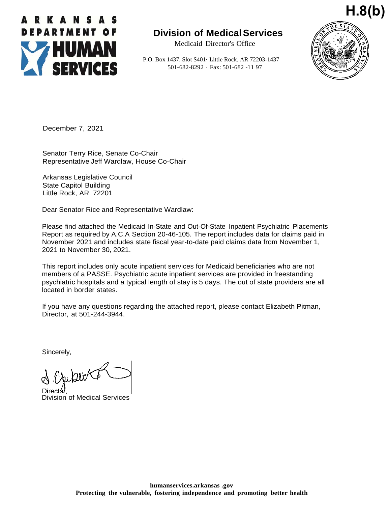

## **Division of MedicalServices**

Medicaid Director's Office

P.O. Box 1437. Slot S401· Little Rock. AR 72203-1437 501-682-8292 · Fax: 501-682 -11 97



December 7, 2021

Senator Terry Rice, Senate Co-Chair Representative Jeff Wardlaw, House Co-Chair

Arkansas Legislative Council State Capitol Building Little Rock, AR 72201

Dear Senator Rice and Representative Wardlaw:

Please find attached the Medicaid In-State and Out-Of-State Inpatient Psychiatric Placements Report as required by A.C.A Section 20-46-105. The report includes data for claims paid in November 2021 and includes state fiscal year-to-date paid claims data from November 1, 2021 to November 30, 2021.

This report includes only acute inpatient services for Medicaid beneficiaries who are not members of a PASSE. Psychiatric acute inpatient services are provided in freestanding psychiatric hospitals and a typical length of stay is 5 days. The out of state providers are all located in border states.

If you have any questions regarding the attached report, please contact Elizabeth Pitman, Director, at 501-244-3944.

Sincerely,

Director

Division of Medical Services